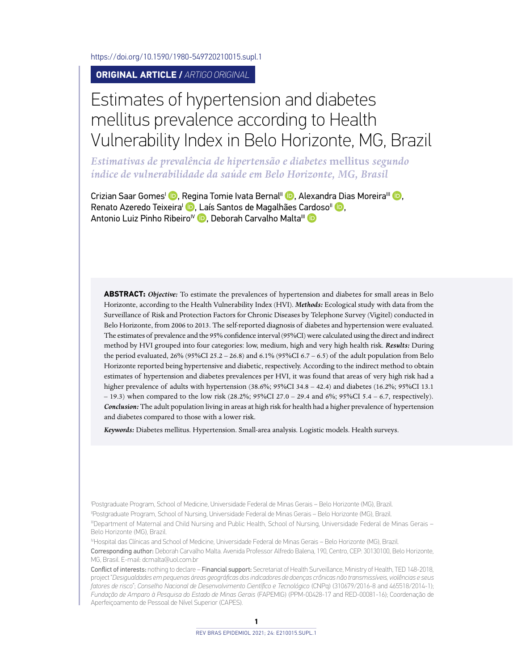<https://doi.org/10.1590/1980-549720210015.supl.1>

**ORIGINAL ARTICLE /** *ARTIGO ORIGINAL*

# Estimates of hypertension and diabetes mellitus prevalence according to Health Vulnerability Index in Belo Horizonte, MG, Brazil

*Estimativas de prevalência de hipertensão e diabetes* **mellitus** *segundo índice de vulnerabilidade da saúde em Belo Horizonte, MG, Brasil*

Crizian Saar Gomes<sup>I</sup> **D**[,](https://orcid.org/0000-0002-4477-5241) Regina Tomie Ivata Bernal<sup>II</sup> D, Alexandra Dias Moreira<sup>III</sup> D, Renato Azeredo Teixeira<sup>l</sup> D[,](https://orcid.org/0000-0002-1114-5470) Laís Santos de Magalhães C[ardo](https://orcid.org/0000-0002-8214-5734)so<sup>II</sup> D, Antonio Luiz Pinho Ribeiro<sup>IV</sup> D. Deborah Carvalho Malta<sup>III</sup> D

**ABSTRACT:** *Objective:* To estimate the prevalences of hypertension and diabetes for small areas in Belo Horizonte, according to the Health Vulnerability Index (HVI). *Methods:* Ecological study with data from the Surveillance of Risk and Protection Factors for Chronic Diseases by Telephone Survey (Vigitel) conducted in Belo Horizonte, from 2006 to 2013. The self-reported diagnosis of diabetes and hypertension were evaluated. The estimates of prevalence and the 95% confidence interval (95%CI) were calculated using the direct and indirect method by HVI grouped into four categories: low, medium, high and very high health risk. *Results:* During the period evaluated,  $26\%$  (95%CI 25.2 – 26.8) and 6.1% (95%CI 6.7 – 6.5) of the adult population from Belo Horizonte reported being hypertensive and diabetic, respectively. According to the indirect method to obtain estimates of hypertension and diabetes prevalences per HVI, it was found that areas of very high risk had a higher prevalence of adults with hypertension (38.6%; 95%CI 34.8 – 42.4) and diabetes (16.2%; 95%CI 13.1 – 19.3) when compared to the low risk (28.2%; 95%CI 27.0 – 29.4 and 6%; 95%CI 5.4 – 6.7, respectively). *Conclusion:* The adult population living in areas at high risk for health had a higher prevalence of hypertension and diabetes compared to those with a lower risk.

*Keywords:* Diabetes mellitus. Hypertension. Small-area analysis. Logistic models. Health surveys.

I Postgraduate Program, School of Medicine, Universidade Federal de Minas Gerais – Belo Horizonte (MG), Brazil.

IIPostgraduate Program, School of Nursing, Universidade Federal de Minas Gerais – Belo Horizonte (MG), Brazil.

IIIDepartment of Maternal and Child Nursing and Public Health, School of Nursing, Universidade Federal de Minas Gerais – Belo Horizonte (MG), Brazil.

IVHospital das Clínicas and School of Medicine, Universidade Federal de Minas Gerais – Belo Horizonte (MG), Brazil.

Corresponding author: Deborah Carvalho Malta. Avenida Professor Alfredo Balena, 190, Centro, CEP: 30130100, Belo Horizonte, MG, Brasil. E-mail: [dcmalta@uol.com.br](mailto:dcmalta@uol.com.br)

Conflict of interests: nothing to declare – Financial support: Secretariat of Health Surveillance, Ministry of Health, TED 148-2018, project "*Desigualdades em pequenas áreas geográficas dos indicadores de doenças crônicas não transmissíveis, violências e seus fatores de risco*"; *Conselho Nacional de Desenvolvimento Científico e Tecnológico* (CNPq) (310679/2016-8 and 465518/2014-1); *Fundação de Amparo à Pesquisa do Estado de Minas Gerais* (FAPEMIG) (PPM-00428-17 and RED-00081-16); Coordenação de Aperfeiçoamento de Pessoal de Nível Superior (CAPES).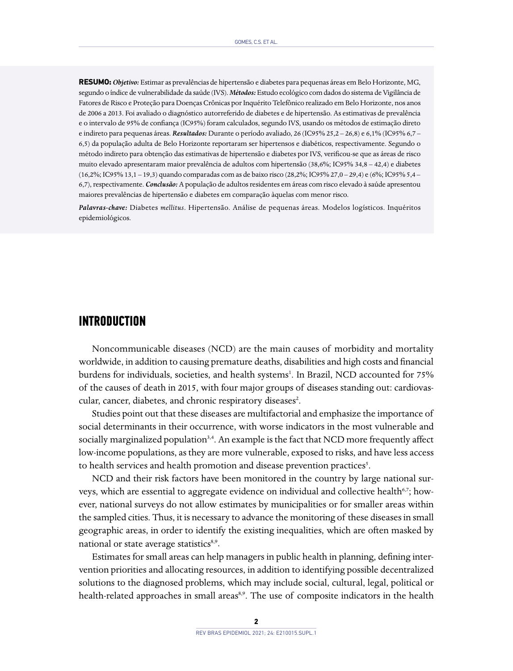**RESUMO:***Objetivo:* Estimar as prevalências de hipertensão e diabetes para pequenas áreas em Belo Horizonte, MG, segundo o índice de vulnerabilidade da saúde (IVS). *Métodos:* Estudo ecológico com dados do sistema de Vigilância de Fatores de Risco e Proteção para Doenças Crônicas por Inquérito Telefônico realizado em Belo Horizonte, nos anos de 2006 a 2013. Foi avaliado o diagnóstico autorreferido de diabetes e de hipertensão. As estimativas de prevalência e o intervalo de 95% de confiança (IC95%) foram calculados, segundo IVS, usando os métodos de estimação direto e indireto para pequenas áreas. *Resultados:* Durante o período avaliado, 26 (IC95% 25,2 – 26,8) e 6,1% (IC95% 6,7 – 6,5) da população adulta de Belo Horizonte reportaram ser hipertensos e diabéticos, respectivamente. Segundo o método indireto para obtenção das estimativas de hipertensão e diabetes por IVS, verificou-se que as áreas de risco muito elevado apresentaram maior prevalência de adultos com hipertensão (38,6%; IC95% 34,8 – 42,4) e diabetes (16,2%; IC95% 13,1 – 19,3) quando comparadas com as de baixo risco (28,2%; IC95% 27,0 – 29,4) e (6%; IC95% 5,4 – 6,7), respectivamente. *Conclusão:* A população de adultos residentes em áreas com risco elevado à saúde apresentou maiores prevalências de hipertensão e diabetes em comparação àquelas com menor risco.

*Palavras-chave:* Diabetes *mellitus*. Hipertensão. Análise de pequenas áreas. Modelos logísticos. Inquéritos epidemiológicos.

### **INTRODUCTION**

Noncommunicable diseases (NCD) are the main causes of morbidity and mortality worldwide, in addition to causing premature deaths, disabilities and high costs and financial burdens for individuals, societies, and health systems<sup>1</sup>. In Brazil, NCD accounted for 75% of the causes of death in 2015, with four major groups of diseases standing out: cardiovascular, cancer, diabetes, and chronic respiratory diseases<sup>2</sup>.

Studies point out that these diseases are multifactorial and emphasize the importance of social determinants in their occurrence, with worse indicators in the most vulnerable and socially marginalized population<sup>3,4</sup>. An example is the fact that NCD more frequently affect low-income populations, as they are more vulnerable, exposed to risks, and have less access to health services and health promotion and disease prevention practices<sup>5</sup>.

NCD and their risk factors have been monitored in the country by large national surveys, which are essential to aggregate evidence on individual and collective health<sup>6,7</sup>; however, national surveys do not allow estimates by municipalities or for smaller areas within the sampled cities. Thus, it is necessary to advance the monitoring of these diseases in small geographic areas, in order to identify the existing inequalities, which are often masked by national or state average statistics<sup>8,9</sup>.

Estimates for small areas can help managers in public health in planning, defining intervention priorities and allocating resources, in addition to identifying possible decentralized solutions to the diagnosed problems, which may include social, cultural, legal, political or health-related approaches in small areas<sup>8,9</sup>. The use of composite indicators in the health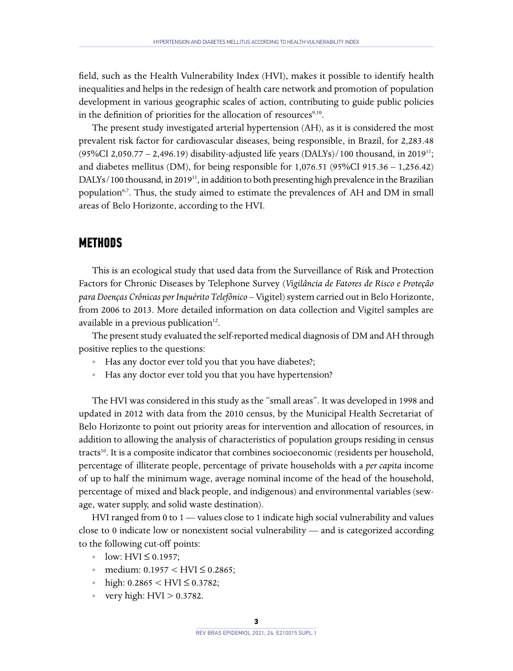field, such as the Health Vulnerability Index (HVI), makes it possible to identify health inequalities and helps in the redesign of health care network and promotion of population development in various geographic scales of action, contributing to guide public policies in the definition of priorities for the allocation of resources $9,10$ .

The present study investigated arterial hypertension (AH), as it is considered the most prevalent risk factor for cardiovascular diseases, being responsible, in Brazil, for 2,283.48 (95%CI 2,050.77 – 2,496.19) disability-adjusted life years (DALYs)/100 thousand, in 2019<sup>11</sup>; and diabetes mellitus (DM), for being responsible for 1,076.51 (95%CI 915.36 – 1,256.42) DALYs/100 thousand, in 2019<sup>11</sup>, in addition to both presenting high prevalence in the Brazilian population<sup>6,7</sup>. Thus, the study aimed to estimate the prevalences of AH and DM in small areas of Belo Horizonte, according to the HVI.

## **METHODS**

This is an ecological study that used data from the Surveillance of Risk and Protection Factors for Chronic Diseases by Telephone Survey (*Vigilância de Fatores de Risco e Proteção para Doenças Crônicas por Inquérito Telefônico* – Vigitel) system carried out in Belo Horizonte, from 2006 to 2013. More detailed information on data collection and Vigitel samples are available in a previous publication $12$ .

The present study evaluated the self-reported medical diagnosis of DM and AH through positive replies to the questions:

- **•** Has any doctor ever told you that you have diabetes?;
- **•** Has any doctor ever told you that you have hypertension?

The HVI was considered in this study as the "small areas". It was developed in 1998 and updated in 2012 with data from the 2010 census, by the Municipal Health Secretariat of Belo Horizonte to point out priority areas for intervention and allocation of resources, in addition to allowing the analysis of characteristics of population groups residing in census tracts<sup>10</sup>. It is a composite indicator that combines socioeconomic (residents per household, percentage of illiterate people, percentage of private households with a *per capita* income of up to half the minimum wage, average nominal income of the head of the household, percentage of mixed and black people, and indigenous) and environmental variables (sewage, water supply, and solid waste destination).

HVI ranged from 0 to 1 — values close to 1 indicate high social vulnerability and values close to 0 indicate low or nonexistent social vulnerability — and is categorized according to the following cut-off points:

- **•** low: HVI ≤ 0.1957;
- **•** medium: 0.1957 < HVI ≤ 0.2865;
- high:  $0.2865 < HVI \leq 0.3782$ ;
- very high: HVI > 0.3782.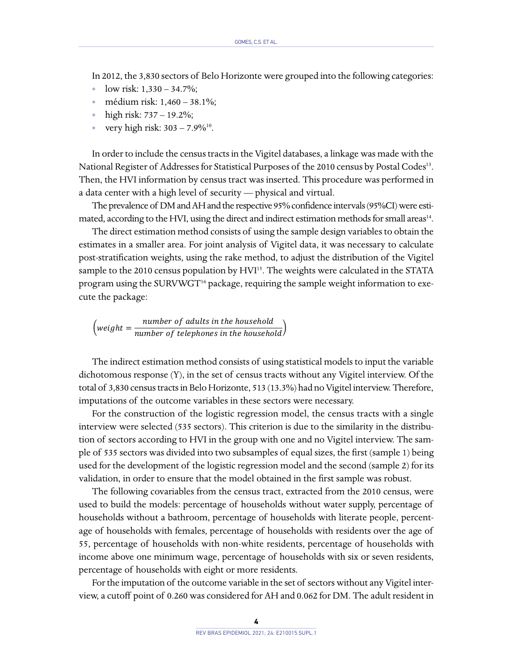In 2012, the 3,830 sectors of Belo Horizonte were grouped into the following categories:

- **•** low risk: 1,330 34.7%;
- **•** médium risk: 1,460 38.1%;
- **•** high risk: 737 19.2%;
- **•** very high risk: 303 7.9%10.

In order to include the census tracts in the Vigitel databases, a linkage was made with the National Register of Addresses for Statistical Purposes of the 2010 census by Postal Codes<sup>13</sup>. Then, the HVI information by census tract was inserted. This procedure was performed in a data center with a high level of security — physical and virtual.

The prevalence of DM and AH and the respective 95% confidence intervals (95%CI) were estimated, according to the HVI, using the direct and indirect estimation methods for small areas<sup>14</sup>.

The direct estimation method consists of using the sample design variables to obtain the estimates in a smaller area. For joint analysis of Vigitel data, it was necessary to calculate post-stratification weights, using the rake method, to adjust the distribution of the Vigitel sample to the 2010 census population by HVI<sup>15</sup>. The weights were calculated in the STATA program using the SURVWGT<sup>16</sup> package, requiring the sample weight information to execute the package:

 $\left( weight = \frac{number\ of\ adults\ in\ the\ household}{number\ of\ telephones\ in\ the\ household}\right)$ 

The indirect estimation method consists of using statistical models to input the variable dichotomous response (Y), in the set of census tracts without any Vigitel interview. Of the total of 3,830 census tracts in Belo Horizonte, 513 (13.3%) had no Vigitel interview. Therefore, imputations of the outcome variables in these sectors were necessary.

For the construction of the logistic regression model, the census tracts with a single interview were selected (535 sectors). This criterion is due to the similarity in the distribution of sectors according to HVI in the group with one and no Vigitel interview. The sample of 535 sectors was divided into two subsamples of equal sizes, the first (sample 1) being used for the development of the logistic regression model and the second (sample 2) for its validation, in order to ensure that the model obtained in the first sample was robust.

The following covariables from the census tract, extracted from the 2010 census, were used to build the models: percentage of households without water supply, percentage of households without a bathroom, percentage of households with literate people, percentage of households with females, percentage of households with residents over the age of 55, percentage of households with non-white residents, percentage of households with income above one minimum wage, percentage of households with six or seven residents, percentage of households with eight or more residents.

For the imputation of the outcome variable in the set of sectors without any Vigitel interview, a cutoff point of 0.260 was considered for AH and 0.062 for DM. The adult resident in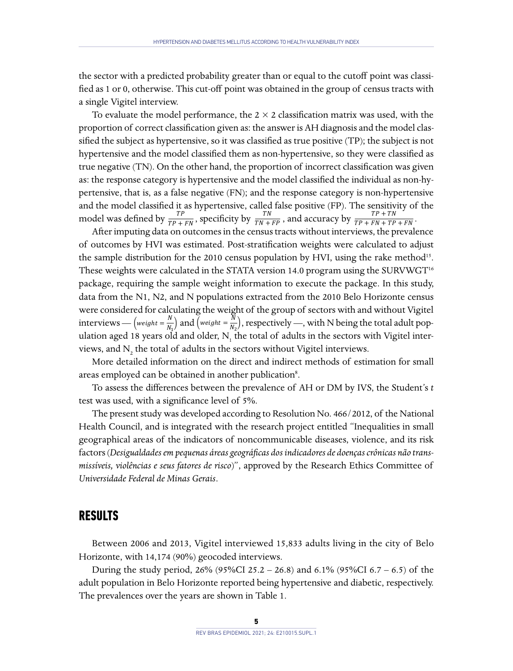the sector with a predicted probability greater than or equal to the cutoff point was classified as 1 or 0, otherwise. This cut-off point was obtained in the group of census tracts with a single Vigitel interview.

To evaluate the model performance, the  $2 \times 2$  classification matrix was used, with the proportion of correct classification given as: the answer is AH diagnosis and the model classified the subject as hypertensive, so it was classified as true positive (TP); the subject is not hypertensive and the model classified them as non-hypertensive, so they were classified as true negative (TN). On the other hand, the proportion of incorrect classification was given as: the response category is hypertensive and the model classified the individual as non-hypertensive, that is, as a false negative (FN); and the response category is non-hypertensive and the model classified it as hypertensive, called false positive (FP). The sensitivity of the model was defined by  $\frac{TP}{TP+FN}$ , specificity by  $\frac{TN}{TN+FP}$ , and accuracy by  $\frac{TP+TN}{TP+FN+TP+FN}$ .

After imputing data on outcomes in the census tracts without interviews, the prevalence of outcomes by HVI was estimated. Post-stratification weights were calculated to adjust the sample distribution for the 2010 census population by HVI, using the rake method<sup>15</sup>. These weights were calculated in the STATA version 14.0 program using the SURVWGT<sup>16</sup> package, requiring the sample weight information to execute the package. In this study, data from the N1, N2, and N populations extracted from the 2010 Belo Horizonte census were considered for calculating the weight of the group of sectors with and without Vigitel interviews — (weight =  $\frac{N}{N_1}$ ) and (weight =  $\frac{N}{N_2}$ ), respectively —, with N being the total adult population aged 18 years old and older,  $N_{_1}$  the total of adults in the sectors with Vigitel interviews, and  $N_z$  the total of adults in the sectors without Vigitel interviews.

More detailed information on the direct and indirect methods of estimation for small areas employed can be obtained in another publication<sup>8</sup>.

To assess the differences between the prevalence of AH or DM by IVS, the Student's *t* test was used, with a significance level of 5%.

The present study was developed according to Resolution No. 466/2012, of the National Health Council, and is integrated with the research project entitled "Inequalities in small geographical areas of the indicators of noncommunicable diseases, violence, and its risk factors(*Desigualdades em pequenas áreas geográficas dos indicadores de doenças crônicas não transmissíveis, violências e seus fatores de risco*)", approved by the Research Ethics Committee of *Universidade Federal de Minas Gerais*.

#### **RESULTS**

Between 2006 and 2013, Vigitel interviewed 15,833 adults living in the city of Belo Horizonte, with 14,174 (90%) geocoded interviews.

During the study period, 26% (95%CI 25.2 – 26.8) and 6.1% (95%CI 6.7 – 6.5) of the adult population in Belo Horizonte reported being hypertensive and diabetic, respectively. The prevalences over the years are shown in Table 1.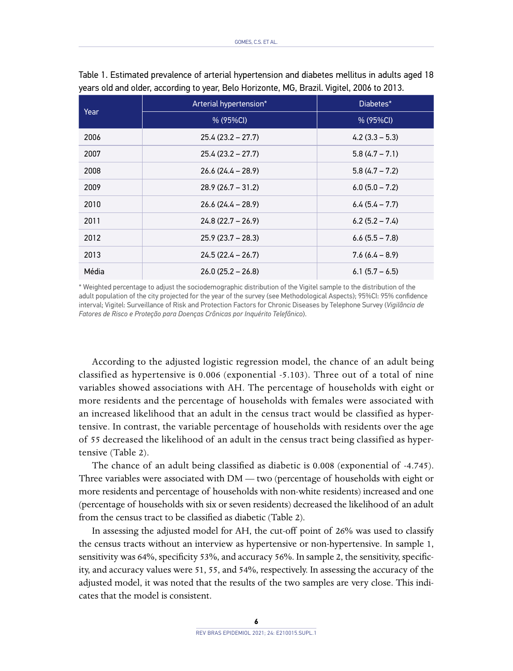|       | Arterial hypertension* | Diabetes*        |  |
|-------|------------------------|------------------|--|
| Year  | % (95%CI)              | % (95%CI)        |  |
| 2006  | $25.4(23.2 - 27.7)$    | $4.2(3.3 - 5.3)$ |  |
| 2007  | $25.4(23.2 - 27.7)$    | $5.8(4.7 - 7.1)$ |  |
| 2008  | $26.6(24.4 - 28.9)$    | $5.8(4.7 - 7.2)$ |  |
| 2009  | $28.9(26.7 - 31.2)$    | $6.0(5.0 - 7.2)$ |  |
| 2010  | $26.6(24.4 - 28.9)$    | $6.4(5.4 - 7.7)$ |  |
| 2011  | $24.8(22.7 - 26.9)$    | $6.2(5.2 - 7.4)$ |  |
| 2012  | $25.9(23.7 - 28.3)$    | $6.6(5.5 - 7.8)$ |  |
| 2013  | $24.5(22.4 - 26.7)$    | $7.6(6.4 - 8.9)$ |  |
| Média | $26.0(25.2 - 26.8)$    | $6.1(5.7 - 6.5)$ |  |

Table 1. Estimated prevalence of arterial hypertension and diabetes mellitus in adults aged 18 years old and older, according to year, Belo Horizonte, MG, Brazil. Vigitel, 2006 to 2013.

\* Weighted percentage to adjust the sociodemographic distribution of the Vigitel sample to the distribution of the adult population of the city projected for the year of the survey (see Methodological Aspects); 95%CI: 95% confidence interval; Vigitel: Surveillance of Risk and Protection Factors for Chronic Diseases by Telephone Survey (*Vigilância de Fatores de Risco e Proteção para Doenças Crônicas por Inquérito Telefônico*).

According to the adjusted logistic regression model, the chance of an adult being classified as hypertensive is 0.006 (exponential -5.103). Three out of a total of nine variables showed associations with AH. The percentage of households with eight or more residents and the percentage of households with females were associated with an increased likelihood that an adult in the census tract would be classified as hypertensive. In contrast, the variable percentage of households with residents over the age of 55 decreased the likelihood of an adult in the census tract being classified as hypertensive (Table 2).

The chance of an adult being classified as diabetic is 0.008 (exponential of -4.745). Three variables were associated with DM — two (percentage of households with eight or more residents and percentage of households with non-white residents) increased and one (percentage of households with six or seven residents) decreased the likelihood of an adult from the census tract to be classified as diabetic (Table 2).

In assessing the adjusted model for AH, the cut-off point of 26% was used to classify the census tracts without an interview as hypertensive or non-hypertensive. In sample 1, sensitivity was 64%, specificity 53%, and accuracy 56%. In sample 2, the sensitivity, specificity, and accuracy values were 51, 55, and 54%, respectively. In assessing the accuracy of the adjusted model, it was noted that the results of the two samples are very close. This indicates that the model is consistent.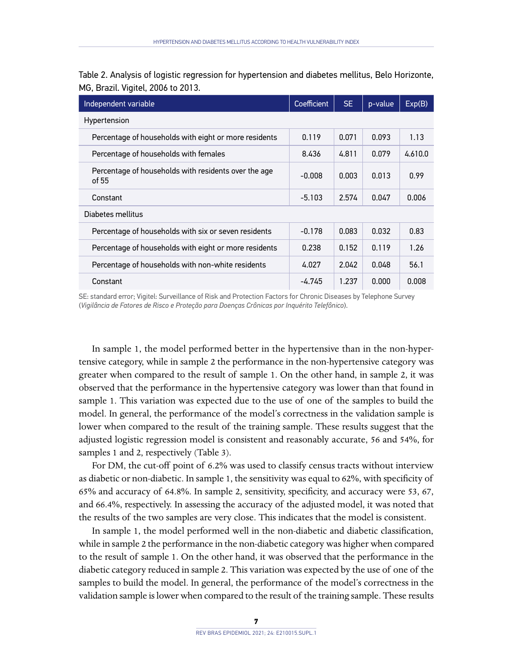Table 2. Analysis of logistic regression for hypertension and diabetes mellitus, Belo Horizonte, MG, Brazil. Vigitel, 2006 to 2013.

| Independent variable                                          | Coefficient | SE.   | p-value | Exp(B)  |
|---------------------------------------------------------------|-------------|-------|---------|---------|
| Hypertension                                                  |             |       |         |         |
| Percentage of households with eight or more residents         | 0.119       | 0.071 | 0.093   | 1.13    |
| Percentage of households with females                         | 8.436       | 4.811 | 0.079   | 4.610.0 |
| Percentage of households with residents over the age<br>of 55 | $-0.008$    | 0.003 | 0.013   | 0.99    |
| Constant                                                      | $-5.103$    | 2.574 | 0.047   | 0.006   |
| Diabetes mellitus                                             |             |       |         |         |
| Percentage of households with six or seven residents          | $-0.178$    | 0.083 | 0.032   | 0.83    |
| Percentage of households with eight or more residents         | 0.238       | 0.152 | 0.119   | 1.26    |
| Percentage of households with non-white residents             | 4.027       | 2.042 | 0.048   | 56.1    |
| Constant                                                      | -4.745      | 1.237 | 0.000   | 0.008   |

SE: standard error; Vigitel: Surveillance of Risk and Protection Factors for Chronic Diseases by Telephone Survey (*Vigilância de Fatores de Risco e Proteção para Doenças Crônicas por Inquérito Telefônico*).

In sample 1, the model performed better in the hypertensive than in the non-hypertensive category, while in sample 2 the performance in the non-hypertensive category was greater when compared to the result of sample 1. On the other hand, in sample 2, it was observed that the performance in the hypertensive category was lower than that found in sample 1. This variation was expected due to the use of one of the samples to build the model. In general, the performance of the model's correctness in the validation sample is lower when compared to the result of the training sample. These results suggest that the adjusted logistic regression model is consistent and reasonably accurate, 56 and 54%, for samples 1 and 2, respectively (Table 3).

For DM, the cut-off point of 6.2% was used to classify census tracts without interview as diabetic or non-diabetic. In sample 1, the sensitivity was equal to 62%, with specificity of 65% and accuracy of 64.8%. In sample 2, sensitivity, specificity, and accuracy were 53, 67, and 66.4%, respectively. In assessing the accuracy of the adjusted model, it was noted that the results of the two samples are very close. This indicates that the model is consistent.

In sample 1, the model performed well in the non-diabetic and diabetic classification, while in sample 2 the performance in the non-diabetic category was higher when compared to the result of sample 1. On the other hand, it was observed that the performance in the diabetic category reduced in sample 2. This variation was expected by the use of one of the samples to build the model. In general, the performance of the model's correctness in the validation sample is lower when compared to the result of the training sample. These results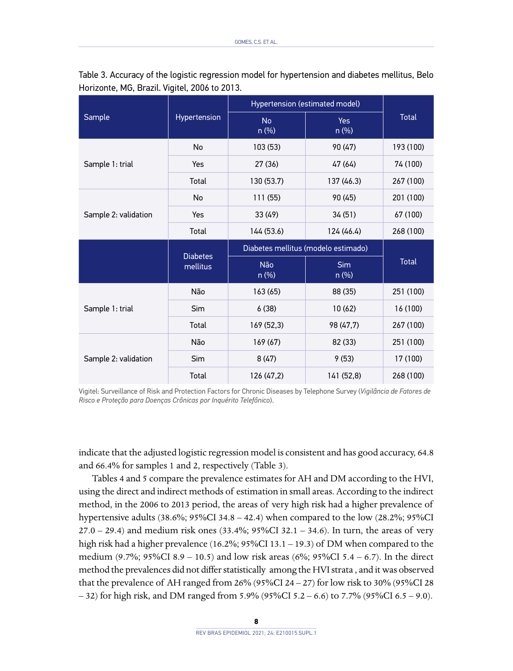|                      | Hypertension                | Hypertension (estimated model)      |                       |              |
|----------------------|-----------------------------|-------------------------------------|-----------------------|--------------|
| Sample               |                             | <b>No</b><br>$n$ (%)                | Yes<br>$n$ (%)        | <b>Total</b> |
|                      | No                          | 103 (53)                            | 90 (47)               | 193 (100)    |
| Sample 1: trial      | Yes                         | 27 (36)                             | 47 (64)               | 74 (100)     |
|                      | Total                       | 130 (53.7)                          | 137 (46.3)            | 267 (100)    |
|                      | No                          | 111 (55)                            | 90 (45)               | 201 (100)    |
| Sample 2: validation | Yes                         | 33 (49)                             | 34 (51)               | 67 (100)     |
|                      | Total                       | 144 (53.6)                          | 124 (46.4)            | 268 (100)    |
|                      |                             | Diabetes mellitus (modelo estimado) |                       |              |
|                      |                             |                                     |                       |              |
|                      | <b>Diabetes</b><br>mellitus | Não<br>$n$ (%)                      | <b>Sim</b><br>$n$ (%) | <b>Total</b> |
|                      | Não                         | 163(65)                             | 88 (35)               | 251 (100)    |
| Sample 1: trial      | <b>Sim</b>                  | 6(38)                               | 10(62)                | 16 (100)     |
|                      | Total                       | 169 (52,3)                          | 98 (47,7)             | 267 (100)    |
|                      | Não                         | 169 (67)                            | 82 (33)               | 251 (100)    |
| Sample 2: validation | <b>Sim</b>                  | 8(47)                               | 9(53)                 | 17 (100)     |

Table 3. Accuracy of the logistic regression model for hypertension and diabetes mellitus, Belo Horizonte, MG, Brazil. Vigitel, 2006 to 2013.

Vigitel: Surveillance of Risk and Protection Factors for Chronic Diseases by Telephone Survey (*Vigilância de Fatores de Risco e Proteção para Doenças Crônicas por Inquérito Telefônico*).

indicate that the adjusted logistic regression model is consistent and has good accuracy, 64.8 and 66.4% for samples 1 and 2, respectively (Table 3).

Tables 4 and 5 compare the prevalence estimates for AH and DM according to the HVI, using the direct and indirect methods of estimation in small areas. According to the indirect method, in the 2006 to 2013 period, the areas of very high risk had a higher prevalence of hypertensive adults (38.6%; 95%CI 34.8 – 42.4) when compared to the low (28.2%; 95%CI 27.0 – 29.4) and medium risk ones  $(33.4\%)$ ; 95%CI 32.1 – 34.6). In turn, the areas of very high risk had a higher prevalence (16.2%; 95%CI 13.1 – 19.3) of DM when compared to the medium (9.7%; 95%CI 8.9 – 10.5) and low risk areas (6%; 95%CI 5.4 – 6.7). In the direct method the prevalences did not differ statistically among the HVI strata , and it was observed that the prevalence of AH ranged from 26% (95%CI 24 – 27) for low risk to 30% (95%CI 28 – 32) for high risk, and DM ranged from 5.9% (95%CI 5.2 – 6.6) to 7.7% (95%CI 6.5 – 9.0).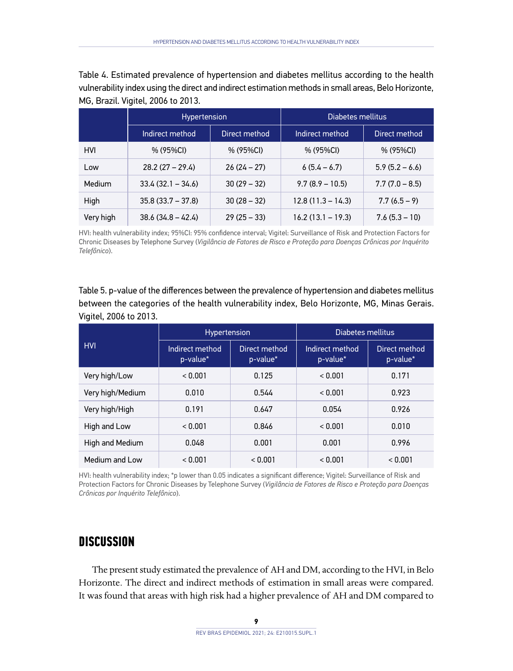Table 4. Estimated prevalence of hypertension and diabetes mellitus according to the health vulnerability index using the direct and indirect estimation methods in small areas, Belo Horizonte, MG, Brazil. Vigitel, 2006 to 2013.

|            | <b>Hypertension</b> |               | Diabetes mellitus   |                  |
|------------|---------------------|---------------|---------------------|------------------|
|            | Indirect method     | Direct method | Indirect method     | Direct method    |
| <b>HVI</b> | % (95%CI)           | $% (95\%CI)$  | $% (95\%CI)$        | $% (95\%CI)$     |
| Low        | $28.2(27 - 29.4)$   | $26(24-27)$   | $6(5.4 - 6.7)$      | $5.9(5.2 - 6.6)$ |
| Medium     | $33.4(32.1 - 34.6)$ | $30(29 - 32)$ | $9.7(8.9 - 10.5)$   | $7.7(7.0 - 8.5)$ |
| High       | $35.8(33.7 - 37.8)$ | $30(28 - 32)$ | $12.8(11.3 - 14.3)$ | $7.7(6.5-9)$     |
| Very high  | $38.6(34.8 - 42.4)$ | $29(25 - 33)$ | $16.2(13.1 - 19.3)$ | $7.6(5.3 - 10)$  |

HVI: health vulnerability index; 95%CI: 95% confidence interval; Vigitel: Surveillance of Risk and Protection Factors for Chronic Diseases by Telephone Survey (*Vigilância de Fatores de Risco e Proteção para Doenças Crônicas por Inquérito Telefônico*).

Table 5. p-value of the differences between the prevalence of hypertension and diabetes mellitus between the categories of the health vulnerability index, Belo Horizonte, MG, Minas Gerais. Vigitel, 2006 to 2013.

|                  | <b>Hypertension</b>         |                           | Diabetes mellitus           |                           |
|------------------|-----------------------------|---------------------------|-----------------------------|---------------------------|
| <b>HVI</b>       | Indirect method<br>p-value* | Direct method<br>p-value* | Indirect method<br>p-value* | Direct method<br>p-value* |
| Very high/Low    | < 0.001                     | 0.125                     | < 0.001                     | 0.171                     |
| Very high/Medium | 0.010                       | 0.544                     | < 0.001                     | 0.923                     |
| Very high/High   | 0.191                       | 0.647                     | 0.054                       | 0.926                     |
| High and Low     | < 0.001                     | 0.846                     | < 0.001                     | 0.010                     |
| High and Medium  | 0.048                       | 0.001                     | 0.001                       | 0.996                     |
| Medium and Low   | < 0.001                     | < 0.001                   | < 0.001                     | < 0.001                   |

HVI: health vulnerability index; \*p lower than 0.05 indicates a significant difference; Vigitel: Surveillance of Risk and Protection Factors for Chronic Diseases by Telephone Survey (*Vigilância de Fatores de Risco e Proteção para Doenças Crônicas por Inquérito Telefônico*).

# **DISCUSSION**

The present study estimated the prevalence of AH and DM, according to the HVI, in Belo Horizonte. The direct and indirect methods of estimation in small areas were compared. It was found that areas with high risk had a higher prevalence of AH and DM compared to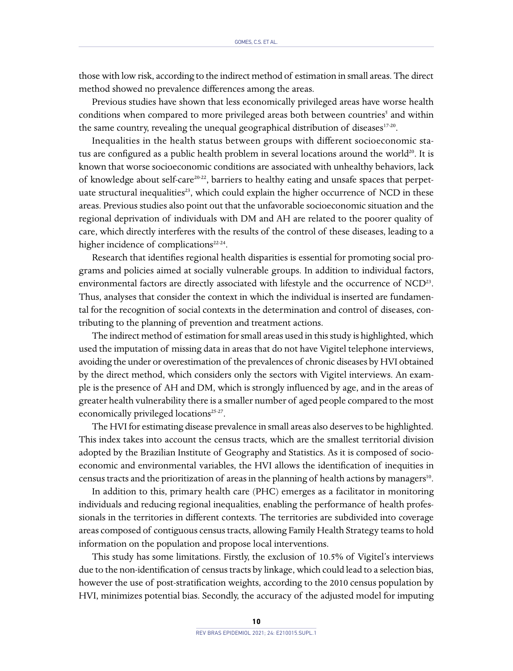those with low risk, according to the indirect method of estimation in small areas. The direct method showed no prevalence differences among the areas.

Previous studies have shown that less economically privileged areas have worse health conditions when compared to more privileged areas both between countries<sup>5</sup> and within the same country, revealing the unequal geographical distribution of diseases $17-20$ .

Inequalities in the health status between groups with different socioeconomic status are configured as a public health problem in several locations around the world $20$ . It is known that worse socioeconomic conditions are associated with unhealthy behaviors, lack of knowledge about self-care20-22, barriers to healthy eating and unsafe spaces that perpetuate structural inequalities<sup>23</sup>, which could explain the higher occurrence of NCD in these areas. Previous studies also point out that the unfavorable socioeconomic situation and the regional deprivation of individuals with DM and AH are related to the poorer quality of care, which directly interferes with the results of the control of these diseases, leading to a higher incidence of complications $22-24$ .

Research that identifies regional health disparities is essential for promoting social programs and policies aimed at socially vulnerable groups. In addition to individual factors, environmental factors are directly associated with lifestyle and the occurrence of NCD<sup>23</sup>. Thus, analyses that consider the context in which the individual is inserted are fundamental for the recognition of social contexts in the determination and control of diseases, contributing to the planning of prevention and treatment actions.

The indirect method of estimation for small areas used in this study is highlighted, which used the imputation of missing data in areas that do not have Vigitel telephone interviews, avoiding the under or overestimation of the prevalences of chronic diseases by HVI obtained by the direct method, which considers only the sectors with Vigitel interviews. An example is the presence of AH and DM, which is strongly influenced by age, and in the areas of greater health vulnerability there is a smaller number of aged people compared to the most economically privileged locations<sup>25-27</sup>.

The HVI for estimating disease prevalence in small areas also deserves to be highlighted. This index takes into account the census tracts, which are the smallest territorial division adopted by the Brazilian Institute of Geography and Statistics. As it is composed of socioeconomic and environmental variables, the HVI allows the identification of inequities in census tracts and the prioritization of areas in the planning of health actions by managers $10$ .

In addition to this, primary health care (PHC) emerges as a facilitator in monitoring individuals and reducing regional inequalities, enabling the performance of health professionals in the territories in different contexts. The territories are subdivided into coverage areas composed of contiguous census tracts, allowing Family Health Strategy teams to hold information on the population and propose local interventions.

This study has some limitations. Firstly, the exclusion of 10.5% of Vigitel's interviews due to the non-identification of census tracts by linkage, which could lead to a selection bias, however the use of post-stratification weights, according to the 2010 census population by HVI, minimizes potential bias. Secondly, the accuracy of the adjusted model for imputing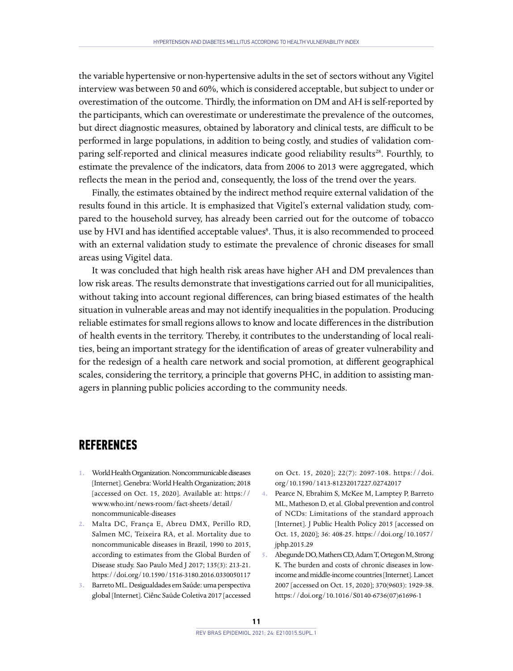the variable hypertensive or non-hypertensive adults in the set of sectors without any Vigitel interview was between 50 and 60%, which is considered acceptable, but subject to under or overestimation of the outcome. Thirdly, the information on DM and AH is self-reported by the participants, which can overestimate or underestimate the prevalence of the outcomes, but direct diagnostic measures, obtained by laboratory and clinical tests, are difficult to be performed in large populations, in addition to being costly, and studies of validation comparing self-reported and clinical measures indicate good reliability results<sup>28</sup>. Fourthly, to estimate the prevalence of the indicators, data from 2006 to 2013 were aggregated, which reflects the mean in the period and, consequently, the loss of the trend over the years.

Finally, the estimates obtained by the indirect method require external validation of the results found in this article. It is emphasized that Vigitel's external validation study, compared to the household survey, has already been carried out for the outcome of tobacco use by HVI and has identified acceptable values8. Thus, it is also recommended to proceed with an external validation study to estimate the prevalence of chronic diseases for small areas using Vigitel data.

It was concluded that high health risk areas have higher AH and DM prevalences than low risk areas. The results demonstrate that investigations carried out for all municipalities, without taking into account regional differences, can bring biased estimates of the health situation in vulnerable areas and may not identify inequalities in the population. Producing reliable estimates for small regions allows to know and locate differences in the distribution of health events in the territory. Thereby, it contributes to the understanding of local realities, being an important strategy for the identification of areas of greater vulnerability and for the redesign of a health care network and social promotion, at different geographical scales, considering the territory, a principle that governs PHC, in addition to assisting managers in planning public policies according to the community needs.

# **REFERENCES**

- **1.** World Health Organization. Noncommunicable diseases [Internet]. Genebra: World Health Organization; 2018 [accessed on Oct. 15, 2020]. Available at: [https://](https://www.who.int/news-room/fact-sheets/detail/noncommunicable-diseases) [www.who.int/news-room/fact-sheets/detail/](https://www.who.int/news-room/fact-sheets/detail/noncommunicable-diseases) [noncommunicable-diseases](https://www.who.int/news-room/fact-sheets/detail/noncommunicable-diseases)
- **2.** Malta DC, França E, Abreu DMX, Perillo RD, Salmen MC, Teixeira RA, et al. Mortality due to noncommunicable diseases in Brazil, 1990 to 2015, according to estimates from the Global Burden of Disease study. Sao Paulo Med J 2017; 135(3): 213-21. <https://doi.org/10.1590/1516-3180.2016.0330050117>
- **3.** Barreto ML. Desigualdades em Saúde: uma perspectiva global [Internet]. Ciênc Saúde Coletiva 2017 [accessed

on Oct. 15, 2020]; 22(7): 2097-108. [https://doi.](https://doi.org/10.1590/1413-81232017227.02742017) [org/10.1590/1413-81232017227.02742017](https://doi.org/10.1590/1413-81232017227.02742017)

- **4.** Pearce N, Ebrahim S, McKee M, Lamptey P, Barreto ML, Matheson D, et al. Global prevention and control of NCDs: Limitations of the standard approach [Internet]. J Public Health Policy 2015 [accessed on Oct. 15, 2020]; 36: 408-25. [https://doi.org/10.1057/](https://doi.org/10.1057/jphp.2015.29) [jphp.2015.29](https://doi.org/10.1057/jphp.2015.29)
- **5.** Abegunde DO, Mathers CD, Adam T, Ortegon M, Strong K. The burden and costs of chronic diseases in lowincome and middle-income countries [Internet]. Lancet 2007 [accessed on Oct. 15, 2020]; 370(9603): 1929-38. [https://doi.org/10.1016/S0140-6736\(07\)61696-1](https://doi.org/10.1016/S0140-6736(07)61696-1)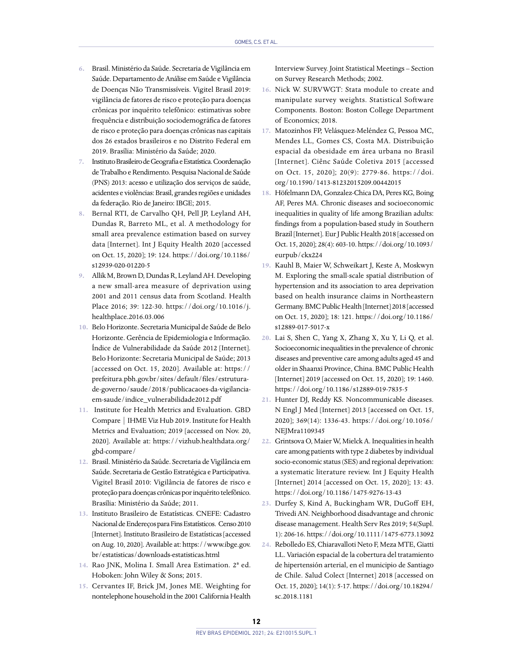- **6.** Brasil. Ministério da Saúde. Secretaria de Vigilância em Saúde. Departamento de Análise em Saúde e Vigilância de Doenças Não Transmissíveis. Vigitel Brasil 2019: vigilância de fatores de risco e proteção para doenças crônicas por inquérito telefônico: estimativas sobre frequência e distribuição sociodemográfica de fatores de risco e proteção para doenças crônicas nas capitais dos 26 estados brasileiros e no Distrito Federal em 2019. Brasília: Ministério da Saúde; 2020.
- **7.** Instituto Brasileiro de Geografia e Estatística. Coordenação de Trabalho e Rendimento. Pesquisa Nacional de Saúde (PNS) 2013: acesso e utilização dos serviços de saúde, acidentes e violências: Brasil, grandes regiões e unidades da federação. Rio de Janeiro: IBGE; 2015.
- **8.** Bernal RTI, de Carvalho QH, Pell JP, Leyland AH, Dundas R, Barreto ML, et al. A methodology for small area prevalence estimation based on survey data [Internet]. Int J Equity Health 2020 [accessed on Oct. 15, 2020]; 19: 124. [https://doi.org/10.1186/](https://doi.org/10.1186/s12939-020-01220-5) [s12939-020-01220-5](https://doi.org/10.1186/s12939-020-01220-5)
- **9.** Allik M, Brown D, Dundas R, Leyland AH. Developing a new small-area measure of deprivation using 2001 and 2011 census data from Scotland. Health Place 2016; 39: 122-30. [https://doi.org/10.1016/j.](https://doi.org/10.1016/j.healthplace.2016.03.006) [healthplace.2016.03.006](https://doi.org/10.1016/j.healthplace.2016.03.006)
- **10.** Belo Horizonte. Secretaria Municipal de Saúde de Belo Horizonte. Gerência de Epidemiologia e Informação. Índice de Vulnerabilidade da Saúde 2012 [Internet]. Belo Horizonte: Secretaria Municipal de Saúde; 2013 [accessed on Oct. 15, 2020]. Available at: [https://](https://prefeitura.pbh.gov.br/sites/default/files/estrutura-de-governo/saude/2018/publicacaoes-da-vigilancia-em-saude/indice_vulnerabilidade2012.pdf) [prefeitura.pbh.gov.br/sites/default/files/estrutura](https://prefeitura.pbh.gov.br/sites/default/files/estrutura-de-governo/saude/2018/publicacaoes-da-vigilancia-em-saude/indice_vulnerabilidade2012.pdf)[de-governo/saude/2018/publicacaoes-da-vigilancia](https://prefeitura.pbh.gov.br/sites/default/files/estrutura-de-governo/saude/2018/publicacaoes-da-vigilancia-em-saude/indice_vulnerabilidade2012.pdf)[em-saude/indice\\_vulnerabilidade2012.pdf](https://prefeitura.pbh.gov.br/sites/default/files/estrutura-de-governo/saude/2018/publicacaoes-da-vigilancia-em-saude/indice_vulnerabilidade2012.pdf)
- **11.** Institute for Health Metrics and Evaluation. GBD Compare | IHME Viz Hub 2019. Institute for Health Metrics and Evaluation; 2019 [accessed on Nov. 20, 2020]. Available at: [https://vizhub.healthdata.org/](https://vizhub.healthdata.org/gbd-compare/) [gbd-compare/](https://vizhub.healthdata.org/gbd-compare/)
- **12.** Brasil. Ministério da Saúde. Secretaria de Vigilância em Saúde. Secretaria de Gestão Estratégica e Participativa. Vigitel Brasil 2010: Vigilância de fatores de risco e proteção para doenças crônicas por inquérito telefônico. Brasília: Ministério da Saúde; 2011.
- **13.** Instituto Brasileiro de Estatísticas. CNEFE: Cadastro Nacional de Endereços para Fins Estatísticos. Censo 2010 [Internet]. Instituto Brasileiro de Estatísticas [accessed on Aug. 10, 2020]. Available at: [https://www.ibge.gov.](https://www.ibge.gov.br/estatisticas/downloads-estatisticas.html) [br/estatisticas/downloads-estatisticas.html](https://www.ibge.gov.br/estatisticas/downloads-estatisticas.html)
- **14.** Rao JNK, Molina I. Small Area Estimation. 2ª ed. Hoboken: John Wiley & Sons; 2015.
- **15.** Cervantes IF, Brick JM, Jones ME. Weighting for nontelephone household in the 2001 California Health

Interview Survey. Joint Statistical Meetings – Section on Survey Research Methods; 2002.

- **16.** Nick W. SURVWGT: Stata module to create and manipulate survey weights. Statistical Software Components. Boston: Boston College Department of Economics; 2018.
- **17.** Matozinhos FP, Velásquez-Meléndez G, Pessoa MC, Mendes LL, Gomes CS, Costa MA. Distribuição espacial da obesidade em área urbana no Brasil [Internet]. Ciênc Saúde Coletiva 2015 [accessed on Oct. 15, 2020]; 20(9): 2779-86. [https://doi.](https://doi.org/10.1590/1413-81232015209.00442015) [org/10.1590/1413-81232015209.00442015](https://doi.org/10.1590/1413-81232015209.00442015)
- **18.** Höfelmann DA, Gonzalez-Chica DA, Peres KG, Boing AF, Peres MA. Chronic diseases and socioeconomic inequalities in quality of life among Brazilian adults: findings from a population-based study in Southern Brazil [Internet]. Eur J Public Health 2018 [accessed on Oct. 15, 2020]; 28(4): 603-10. [https://doi.org/10.1093/](https://doi.org/10.1093/eurpub/ckx224) [eurpub/ckx224](https://doi.org/10.1093/eurpub/ckx224)
- **19.** Kauhl B, Maier W, Schweikart J, Keste A, Moskwyn M. Exploring the small-scale spatial distribution of hypertension and its association to area deprivation based on health insurance claims in Northeastern Germany. BMC Public Health [Internet] 2018 [accessed on Oct. 15, 2020]; 18: 121. [https://doi.org/10.1186/](https://doi.org/10.1186/s12889-017-5017-x) [s12889-017-5017-x](https://doi.org/10.1186/s12889-017-5017-x)
- **20.** Lai S, Shen C, Yang X, Zhang X, Xu Y, Li Q, et al. Socioeconomic inequalities in the prevalence of chronic diseases and preventive care among adults aged 45 and older in Shaanxi Province, China. BMC Public Health [Internet] 2019 [accessed on Oct. 15, 2020]; 19: 1460. <https://doi.org/10.1186/s12889-019-7835-5>
- **21.** Hunter DJ, Reddy KS. Noncommunicable diseases. N Engl J Med [Internet] 2013 [accessed on Oct. 15, 2020]; 369(14): 1336-43. [https://doi.org/10.1056/](https://doi.org/10.1056/NEJMra1109345) [NEJMra1109345](https://doi.org/10.1056/NEJMra1109345)
- **22.** Grintsova O, Maier W, Mielck A. Inequalities in health care among patients with type 2 diabetes by individual socio-economic status (SES) and regional deprivation: a systematic literature review. Int J Equity Health [Internet] 2014 [accessed on Oct. 15, 2020]; 13: 43. <https://doi.org/10.1186/1475-9276-13-43>
- **23.** Durfey S, Kind A, Buckingham WR, DuGoff EH, Trivedi AN. Neighborhood disadvantage and chronic disease management. Health Serv Res 2019; 54(Supl. 1): 206-16.<https://doi.org/10.1111/1475-6773.13092>
- **24.** Rebolledo ES, Chiaravalloti Neto F, Meza MTE, Giatti LL. Variación espacial de la cobertura del tratamiento de hipertensión arterial, en el municipio de Santiago de Chile. Salud Colect [Internet] 2018 [accessed on Oct. 15, 2020]; 14(1): 5-17. [https://doi.org/10.18294/](https://doi.org/10.18294/sc.2018.1181) [sc.2018.1181](https://doi.org/10.18294/sc.2018.1181)